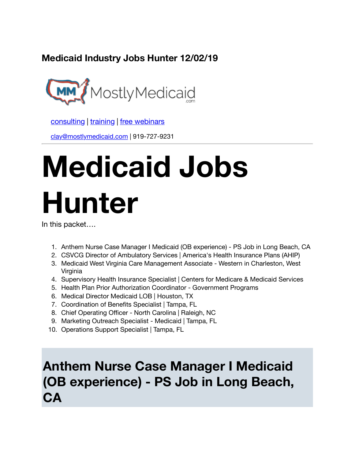**Medicaid Industry Jobs Hunter 12/02/19**



[consulting](http://bit.ly/2L815p0) | [training](http://bit.ly/2zL1l4r) | [free webinars](http://bit.ly/2ccl593) 

[clay@mostlymedicaid.com](mailto:clay%40mostlymedicaid.com) | 919-727-9231

# **Medicaid Jobs Hunter**

In this packet….

- 1. Anthem Nurse Case Manager I Medicaid (OB experience) PS Job in Long Beach, CA
- 2. CSVCG Director of Ambulatory Services | America's Health Insurance Plans (AHIP)
- 3. Medicaid West Virginia Care Management Associate Western in Charleston, West Virginia
- 4. Supervisory Health Insurance Specialist | Centers for Medicare & Medicaid Services
- 5. Health Plan Prior Authorization Coordinator Government Programs
- 6. Medical Director Medicaid LOB | Houston, TX
- 7. Coordination of Benefits Specialist | Tampa, FL
- 8. Chief Operating Officer North Carolina | Raleigh, NC
- 9. Marketing Outreach Specialist Medicaid | Tampa, FL
- 10. Operations Support Specialist | Tampa, FL

### **Anthem Nurse Case Manager I Medicaid (OB experience) - PS Job in Long Beach, CA**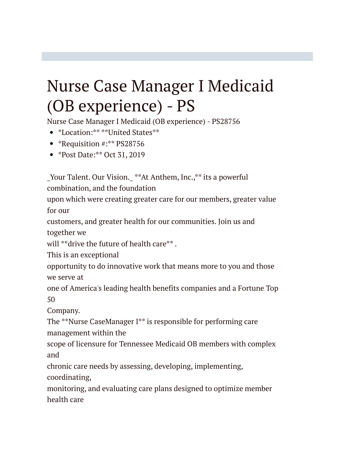# Nurse Case Manager I Medicaid (OB experience) - PS

Nurse Case Manager I Medicaid (OB experience) - PS28756

- \*Location:\*\* \*\*United States\*\*
- \*Requisition #:\*\* PS28756
- \*Post Date:\*\* Oct 31, 2019

Your Talent. Our Vision. \*\*At Anthem, Inc.,\*\* its a powerful

combination, and the foundation

upon which were creating greater care for our members, greater value for our

customers, and greater health for our communities. Join us and

together we

will \*\*drive the future of health care\*\*.

This is an exceptional

opportunity to do innovative work that means more to you and those we serve at

one of America's leading health benefits companies and a Fortune Top 50

Company.

The \*\*Nurse CaseManager I\*\* is responsible for performing care management within the

scope of licensure for Tennessee Medicaid OB members with complex and

chronic care needs by assessing, developing, implementing, coordinating,

monitoring, and evaluating care plans designed to optimize member health care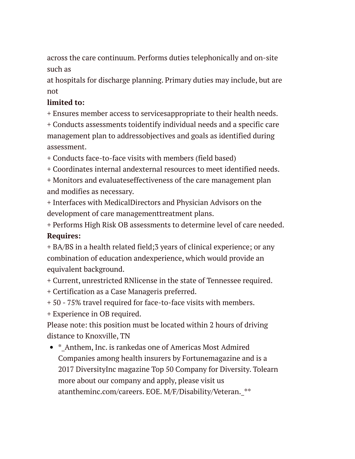across the care continuum. Performs duties telephonically and on-site such as

at hospitals for discharge planning. Primary duties may include, but are not

### **limited to:**

+ Ensures member access to servicesappropriate to their health needs.

+ Conducts assessments toidentify individual needs and a specific care management plan to addressobjectives and goals as identified during assessment.

+ Conducts face-to-face visits with members (field based)

+ Coordinates internal andexternal resources to meet identified needs.

+ Monitors and evaluateseffectiveness of the care management plan and modifies as necessary.

+ Interfaces with MedicalDirectors and Physician Advisors on the development of care managementtreatment plans.

+ Performs High Risk OB assessments to determine level of care needed. **Requires:**

+ BA/BS in a health related field;3 years of clinical experience; or any combination of education andexperience, which would provide an equivalent background.

+ Current, unrestricted RNlicense in the state of Tennessee required.

+ Certification as a Case Manageris preferred.

+ 50 - 75% travel required for face-to-face visits with members.

+ Experience in OB required.

Please note: this position must be located within 2 hours of driving distance to Knoxville, TN

• \* Anthem, Inc. is rankedas one of Americas Most Admired Companies among health insurers by Fortunemagazine and is a 2017 DiversityInc magazine Top 50 Company for Diversity. Tolearn more about our company and apply, please visit us atantheminc.com/careers. EOE. M/F/Disability/Veteran. \*\*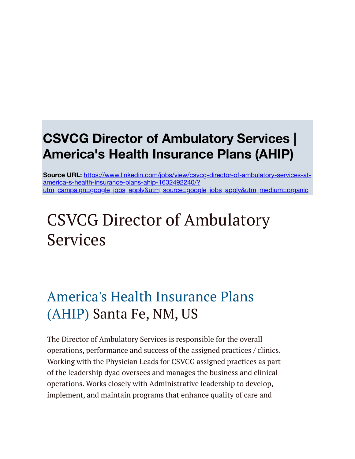### **CSVCG Director of Ambulatory Services | America's Health Insurance Plans (AHIP)**

**Source URL:** https://www.linkedin.com/jobs/view/csvcg-director-of-ambulatory-services-atamerica-s-health-insurance-plans-ahip-1632492240/? [utm\\_campaign=google\\_jobs\\_apply&utm\\_source=google\\_jobs\\_apply&utm\\_medium=organic](https://www.linkedin.com/jobs/view/csvcg-director-of-ambulatory-services-at-america-s-health-insurance-plans-ahip-1632492240/?utm_campaign=google_jobs_apply&utm_source=google_jobs_apply&utm_medium=organic)

# CSVCG Director of Ambulatory Services

## [America's Health Insurance Plans](https://www.linkedin.com/company/america) (AHIP) Santa Fe, NM, US

The Director of Ambulatory Services is responsible for the overall operations, performance and success of the assigned practices / clinics. Working with the Physician Leads for CSVCG assigned practices as part of the leadership dyad oversees and manages the business and clinical operations. Works closely with Administrative leadership to develop, implement, and maintain programs that enhance quality of care and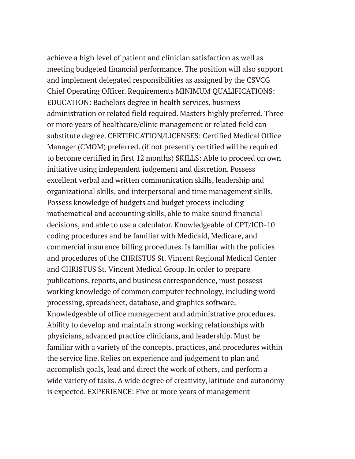achieve a high level of patient and clinician satisfaction as well as meeting budgeted financial performance. The position will also support and implement delegated responsibilities as assigned by the CSVCG Chief Operating Officer. Requirements MINIMUM QUALIFICATIONS: EDUCATION: Bachelors degree in health services, business administration or related field required. Masters highly preferred. Three or more years of healthcare/clinic management or related field can substitute degree. CERTIFICATION/LICENSES: Certified Medical Office Manager (CMOM) preferred. (if not presently certified will be required to become certified in first 12 months) SKILLS: Able to proceed on own initiative using independent judgement and discretion. Possess excellent verbal and written communication skills, leadership and organizational skills, and interpersonal and time management skills. Possess knowledge of budgets and budget process including mathematical and accounting skills, able to make sound financial decisions, and able to use a calculator. Knowledgeable of CPT/ICD-10 coding procedures and be familiar with Medicaid, Medicare, and commercial insurance billing procedures. Is familiar with the policies and procedures of the CHRISTUS St. Vincent Regional Medical Center and CHRISTUS St. Vincent Medical Group. In order to prepare publications, reports, and business correspondence, must possess working knowledge of common computer technology, including word processing, spreadsheet, database, and graphics software. Knowledgeable of office management and administrative procedures. Ability to develop and maintain strong working relationships with physicians, advanced practice clinicians, and leadership. Must be familiar with a variety of the concepts, practices, and procedures within the service line. Relies on experience and judgement to plan and accomplish goals, lead and direct the work of others, and perform a wide variety of tasks. A wide degree of creativity, latitude and autonomy is expected. EXPERIENCE: Five or more years of management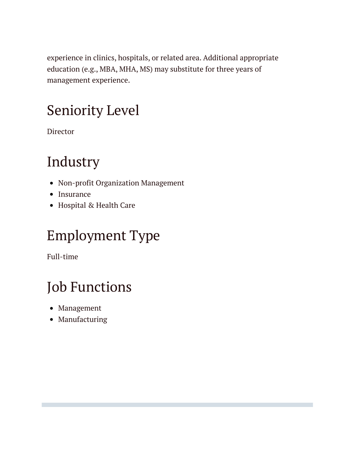experience in clinics, hospitals, or related area. Additional appropriate education (e.g., MBA, MHA, MS) may substitute for three years of management experience.

# Seniority Level

Director

# Industry

- Non-profit Organization Management
- Insurance
- Hospital & Health Care

# Employment Type

Full-time

# Job Functions

- Management
- Manufacturing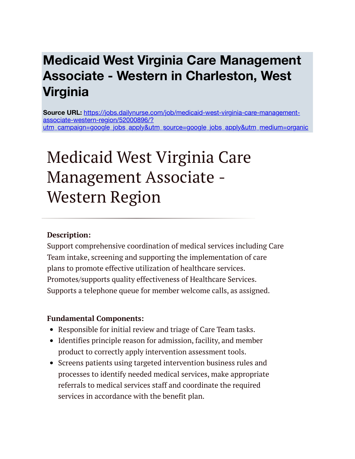### **Medicaid West Virginia Care Management Associate - Western in Charleston, West Virginia**

**Source URL:** https://jobs.dailynurse.com/job/medicaid-west-virginia-care-managementassociate-western-region/52000896/? [utm\\_campaign=google\\_jobs\\_apply&utm\\_source=google\\_jobs\\_apply&utm\\_medium=organic](https://jobs.dailynurse.com/job/medicaid-west-virginia-care-management-associate-western-region/52000896/?utm_campaign=google_jobs_apply&utm_source=google_jobs_apply&utm_medium=organic)

# Medicaid West Virginia Care Management Associate - Western Region

### **Description:**

Support comprehensive coordination of medical services including Care Team intake, screening and supporting the implementation of care plans to promote effective utilization of healthcare services. Promotes/supports quality effectiveness of Healthcare Services. Supports a telephone queue for member welcome calls, as assigned.

#### **Fundamental Components:**

- Responsible for initial review and triage of Care Team tasks.
- Identifies principle reason for admission, facility, and member product to correctly apply intervention assessment tools.
- Screens patients using targeted intervention business rules and processes to identify needed medical services, make appropriate referrals to medical services staff and coordinate the required services in accordance with the benefit plan.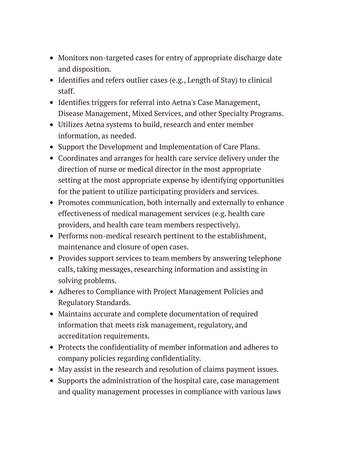- Monitors non-targeted cases for entry of appropriate discharge date and disposition.
- Identifies and refers outlier cases (e.g., Length of Stay) to clinical staff.
- Identifies triggers for referral into Aetna's Case Management, Disease Management, Mixed Services, and other Specialty Programs.
- Utilizes Aetna systems to build, research and enter member information, as needed.
- Support the Development and Implementation of Care Plans.
- Coordinates and arranges for health care service delivery under the direction of nurse or medical director in the most appropriate setting at the most appropriate expense by identifying opportunities for the patient to utilize participating providers and services.
- Promotes communication, both internally and externally to enhance effectiveness of medical management services (e.g. health care providers, and health care team members respectively).
- Performs non-medical research pertinent to the establishment, maintenance and closure of open cases.
- Provides support services to team members by answering telephone calls, taking messages, researching information and assisting in solving problems.
- Adheres to Compliance with Project Management Policies and Regulatory Standards.
- Maintains accurate and complete documentation of required information that meets risk management, regulatory, and accreditation requirements.
- Protects the confidentiality of member information and adheres to company policies regarding confidentiality.
- May assist in the research and resolution of claims payment issues.
- Supports the administration of the hospital care, case management and quality management processes in compliance with various laws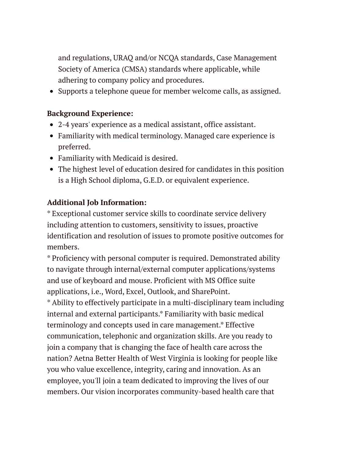and regulations, URAQ and/or NCQA standards, Case Management Society of America (CMSA) standards where applicable, while adhering to company policy and procedures.

• Supports a telephone queue for member welcome calls, as assigned.

### **Background Experience:**

- 2-4 years' experience as a medical assistant, office assistant.
- Familiarity with medical terminology. Managed care experience is preferred.
- Familiarity with Medicaid is desired.
- The highest level of education desired for candidates in this position is a High School diploma, G.E.D. or equivalent experience.

### **Additional Job Information:**

\* Exceptional customer service skills to coordinate service delivery including attention to customers, sensitivity to issues, proactive identification and resolution of issues to promote positive outcomes for members.

\* Proficiency with personal computer is required. Demonstrated ability to navigate through internal/external computer applications/systems and use of keyboard and mouse. Proficient with MS Office suite applications, i.e., Word, Excel, Outlook, and SharePoint.

\* Ability to effectively participate in a multi-disciplinary team including internal and external participants.\* Familiarity with basic medical terminology and concepts used in care management.\* Effective communication, telephonic and organization skills. Are you ready to join a company that is changing the face of health care across the nation? Aetna Better Health of West Virginia is looking for people like you who value excellence, integrity, caring and innovation. As an employee, you'll join a team dedicated to improving the lives of our members. Our vision incorporates community-based health care that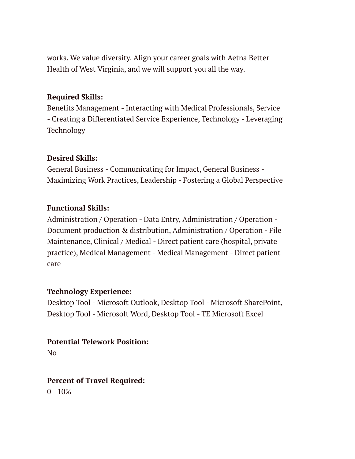works. We value diversity. Align your career goals with Aetna Better Health of West Virginia, and we will support you all the way.

### **Required Skills:**

Benefits Management - Interacting with Medical Professionals, Service - Creating a Differentiated Service Experience, Technology - Leveraging Technology

### **Desired Skills:**

General Business - Communicating for Impact, General Business - Maximizing Work Practices, Leadership - Fostering a Global Perspective

### **Functional Skills:**

Administration / Operation - Data Entry, Administration / Operation - Document production & distribution, Administration / Operation - File Maintenance, Clinical / Medical - Direct patient care (hospital, private practice), Medical Management - Medical Management - Direct patient care

### **Technology Experience:**

Desktop Tool - Microsoft Outlook, Desktop Tool - Microsoft SharePoint, Desktop Tool - Microsoft Word, Desktop Tool - TE Microsoft Excel

### **Potential Telework Position:**

No

### **Percent of Travel Required:**

 $0 - 10%$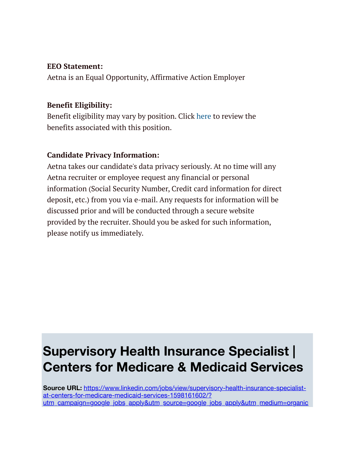#### **EEO Statement:**

Aetna is an Equal Opportunity, Affirmative Action Employer

### **Benefit Eligibility:**

Benefit eligibility may vary by position. Click [here](http://www.aetna.com/about-aetna-insurance/document-library/careers/benefits-rates.pdf) to review the benefits associated with this position.

### **Candidate Privacy Information:**

Aetna takes our candidate's data privacy seriously. At no time will any Aetna recruiter or employee request any financial or personal information (Social Security Number, Credit card information for direct deposit, etc.) from you via e-mail. Any requests for information will be discussed prior and will be conducted through a secure website provided by the recruiter. Should you be asked for such information, please notify us immediately.

### **Supervisory Health Insurance Specialist | Centers for Medicare & Medicaid Services**

**Source URL:** https://www.linkedin.com/jobs/view/supervisory-health-insurance-specialistat-centers-for-medicare-medicaid-services-1598161602/? [utm\\_campaign=google\\_jobs\\_apply&utm\\_source=google\\_jobs\\_apply&utm\\_medium=organic](https://www.linkedin.com/jobs/view/supervisory-health-insurance-specialist-at-centers-for-medicare-medicaid-services-1598161602/?utm_campaign=google_jobs_apply&utm_source=google_jobs_apply&utm_medium=organic)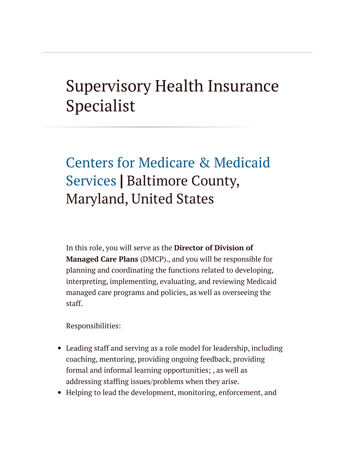# Supervisory Health Insurance Specialist

# [Centers for Medicare & Medicaid](https://www.linkedin.com/company/centers-for-medicare-&-medicaid-services/life/) Services **|** Baltimore County, Maryland, United States

In this role, you will serve as the **Director of Division of Managed Care Plans** (DMCP)., and you will be responsible for planning and coordinating the functions related to developing, interpreting, implementing, evaluating, and reviewing Medicaid managed care programs and policies, as well as overseeing the staff.

Responsibilities:

- Leading staff and serving as a role model for leadership, including coaching, mentoring, providing ongoing feedback, providing formal and informal learning opportunities; , as well as addressing staffing issues/problems when they arise.
- Helping to lead the development, monitoring, enforcement, and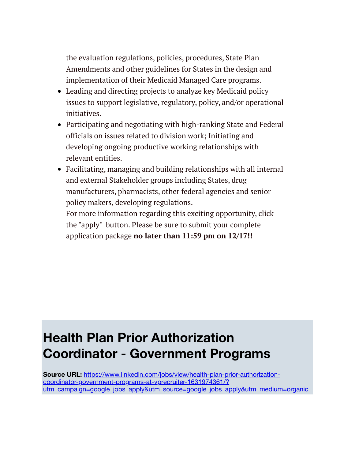the evaluation regulations, policies, procedures, State Plan Amendments and other guidelines for States in the design and implementation of their Medicaid Managed Care programs.

- Leading and directing projects to analyze key Medicaid policy issues to support legislative, regulatory, policy, and/or operational initiatives.
- Participating and negotiating with high-ranking State and Federal officials on issues related to division work; Initiating and developing ongoing productive working relationships with relevant entities.
- Facilitating, managing and building relationships with all internal and external Stakeholder groups including States, drug manufacturers, pharmacists, other federal agencies and senior policy makers, developing regulations.

For more information regarding this exciting opportunity, click the "apply" button. Please be sure to submit your complete application package **no later than 11:59 pm on 12/17!!**

### **Health Plan Prior Authorization Coordinator - Government Programs**

**Source URL:** https://www.linkedin.com/jobs/view/health-plan-prior-authorizationcoordinator-government-programs-at-vprecruiter-1631974361/? [utm\\_campaign=google\\_jobs\\_apply&utm\\_source=google\\_jobs\\_apply&utm\\_medium=organic](https://www.linkedin.com/jobs/view/health-plan-prior-authorization-coordinator-government-programs-at-vprecruiter-1631974361/?utm_campaign=google_jobs_apply&utm_source=google_jobs_apply&utm_medium=organic)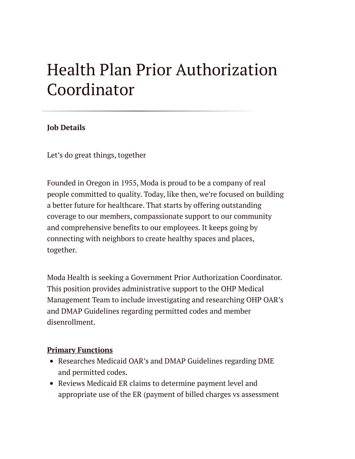# Health Plan Prior Authorization Coordinator

#### **Job Details**

Let's do great things, together

Founded in Oregon in 1955, Moda is proud to be a company of real people committed to quality. Today, like then, we're focused on building a better future for healthcare. That starts by offering outstanding coverage to our members, compassionate support to our community and comprehensive benefits to our employees. It keeps going by connecting with neighbors to create healthy spaces and places, together.

Moda Health is seeking a Government Prior Authorization Coordinator. This position provides administrative support to the OHP Medical Management Team to include investigating and researching OHP OAR's and DMAP Guidelines regarding permitted codes and member disenrollment.

#### **Primary Functions**

- Researches Medicaid OAR's and DMAP Guidelines regarding DME and permitted codes.
- Reviews Medicaid ER claims to determine payment level and appropriate use of the ER (payment of billed charges vs assessment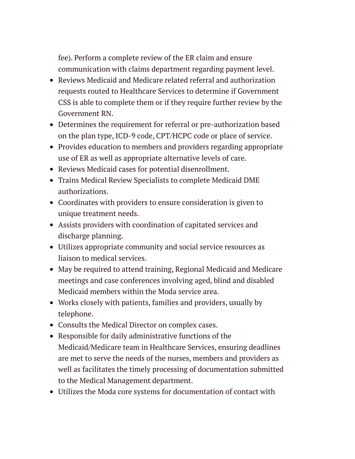fee). Perform a complete review of the ER claim and ensure communication with claims department regarding payment level.

- Reviews Medicaid and Medicare related referral and authorization requests routed to Healthcare Services to determine if Government CSS is able to complete them or if they require further review by the Government RN.
- Determines the requirement for referral or pre-authorization based on the plan type, ICD-9 code, CPT/HCPC code or place of service.
- Provides education to members and providers regarding appropriate use of ER as well as appropriate alternative levels of care.
- Reviews Medicaid cases for potential disenrollment.
- Trains Medical Review Specialists to complete Medicaid DME authorizations.
- Coordinates with providers to ensure consideration is given to unique treatment needs.
- Assists providers with coordination of capitated services and discharge planning.
- Utilizes appropriate community and social service resources as liaison to medical services.
- May be required to attend training, Regional Medicaid and Medicare meetings and case conferences involving aged, blind and disabled Medicaid members within the Moda service area.
- Works closely with patients, families and providers, usually by telephone.
- Consults the Medical Director on complex cases.
- Responsible for daily administrative functions of the Medicaid/Medicare team in Healthcare Services, ensuring deadlines are met to serve the needs of the nurses, members and providers as well as facilitates the timely processing of documentation submitted to the Medical Management department.
- Utilizes the Moda core systems for documentation of contact with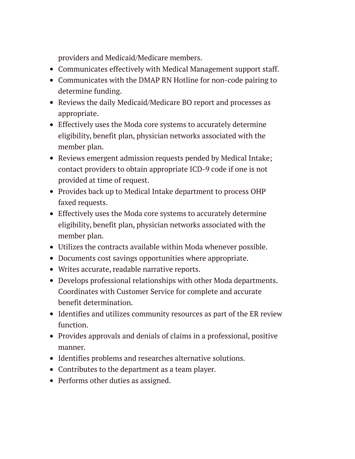providers and Medicaid/Medicare members.

- Communicates effectively with Medical Management support staff.
- Communicates with the DMAP RN Hotline for non-code pairing to determine funding.
- Reviews the daily Medicaid/Medicare BO report and processes as appropriate.
- Effectively uses the Moda core systems to accurately determine eligibility, benefit plan, physician networks associated with the member plan.
- Reviews emergent admission requests pended by Medical Intake; contact providers to obtain appropriate ICD-9 code if one is not provided at time of request.
- Provides back up to Medical Intake department to process OHP faxed requests.
- Effectively uses the Moda core systems to accurately determine eligibility, benefit plan, physician networks associated with the member plan.
- Utilizes the contracts available within Moda whenever possible.
- Documents cost savings opportunities where appropriate.
- Writes accurate, readable narrative reports.
- Develops professional relationships with other Moda departments. Coordinates with Customer Service for complete and accurate benefit determination.
- Identifies and utilizes community resources as part of the ER review function.
- Provides approvals and denials of claims in a professional, positive manner.
- Identifies problems and researches alternative solutions.
- Contributes to the department as a team player.
- Performs other duties as assigned.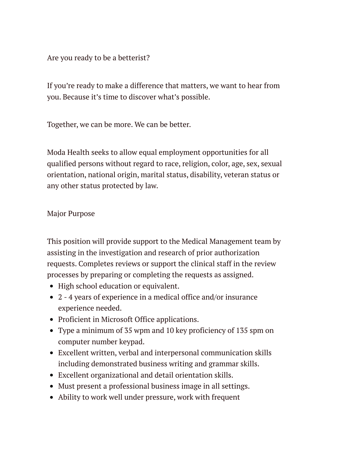Are you ready to be a betterist?

If you're ready to make a difference that matters, we want to hear from you. Because it's time to discover what's possible.

Together, we can be more. We can be better.

Moda Health seeks to allow equal employment opportunities for all qualified persons without regard to race, religion, color, age, sex, sexual orientation, national origin, marital status, disability, veteran status or any other status protected by law.

### Major Purpose

This position will provide support to the Medical Management team by assisting in the investigation and research of prior authorization requests. Completes reviews or support the clinical staff in the review processes by preparing or completing the requests as assigned.

- High school education or equivalent.
- 2 4 years of experience in a medical office and/or insurance experience needed.
- Proficient in Microsoft Office applications.
- Type a minimum of 35 wpm and 10 key proficiency of 135 spm on computer number keypad.
- Excellent written, verbal and interpersonal communication skills including demonstrated business writing and grammar skills.
- Excellent organizational and detail orientation skills.
- Must present a professional business image in all settings.
- Ability to work well under pressure, work with frequent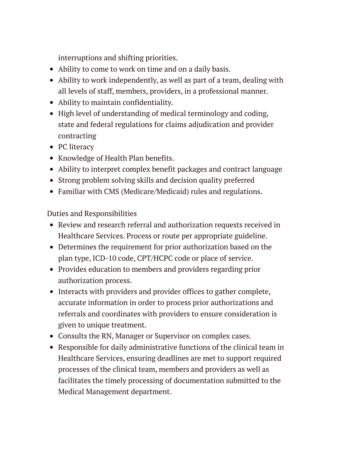interruptions and shifting priorities.

- Ability to come to work on time and on a daily basis.
- Ability to work independently, as well as part of a team, dealing with all levels of staff, members, providers, in a professional manner.
- Ability to maintain confidentiality.
- High level of understanding of medical terminology and coding, state and federal regulations for claims adjudication and provider contracting
- PC literacy
- Knowledge of Health Plan benefits.
- Ability to interpret complex benefit packages and contract language
- Strong problem solving skills and decision quality preferred
- Familiar with CMS (Medicare/Medicaid) rules and regulations.

Duties and Responsibilities

- Review and research referral and authorization requests received in Healthcare Services. Process or route per appropriate guideline.
- Determines the requirement for prior authorization based on the plan type, ICD-10 code, CPT/HCPC code or place of service.
- Provides education to members and providers regarding prior authorization process.
- Interacts with providers and provider offices to gather complete, accurate information in order to process prior authorizations and referrals and coordinates with providers to ensure consideration is given to unique treatment.
- Consults the RN, Manager or Supervisor on complex cases.
- Responsible for daily administrative functions of the clinical team in Healthcare Services, ensuring deadlines are met to support required processes of the clinical team, members and providers as well as facilitates the timely processing of documentation submitted to the Medical Management department.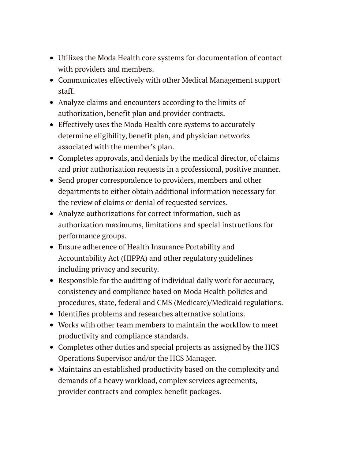- Utilizes the Moda Health core systems for documentation of contact with providers and members.
- Communicates effectively with other Medical Management support staff.
- Analyze claims and encounters according to the limits of authorization, benefit plan and provider contracts.
- Effectively uses the Moda Health core systems to accurately determine eligibility, benefit plan, and physician networks associated with the member's plan.
- Completes approvals, and denials by the medical director, of claims and prior authorization requests in a professional, positive manner.
- Send proper correspondence to providers, members and other departments to either obtain additional information necessary for the review of claims or denial of requested services.
- Analyze authorizations for correct information, such as authorization maximums, limitations and special instructions for performance groups.
- Ensure adherence of Health Insurance Portability and Accountability Act (HIPPA) and other regulatory guidelines including privacy and security.
- Responsible for the auditing of individual daily work for accuracy, consistency and compliance based on Moda Health policies and procedures, state, federal and CMS (Medicare)/Medicaid regulations.
- Identifies problems and researches alternative solutions.
- Works with other team members to maintain the workflow to meet productivity and compliance standards.
- Completes other duties and special projects as assigned by the HCS Operations Supervisor and/or the HCS Manager.
- Maintains an established productivity based on the complexity and demands of a heavy workload, complex services agreements, provider contracts and complex benefit packages.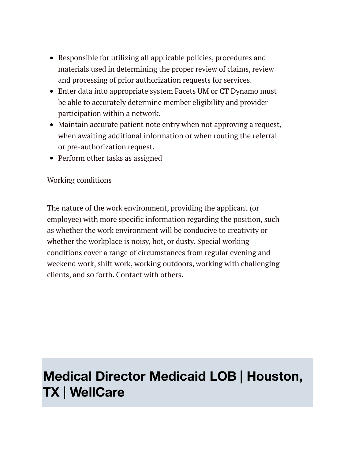- Responsible for utilizing all applicable policies, procedures and materials used in determining the proper review of claims, review and processing of prior authorization requests for services.
- Enter data into appropriate system Facets UM or CT Dynamo must be able to accurately determine member eligibility and provider participation within a network.
- Maintain accurate patient note entry when not approving a request, when awaiting additional information or when routing the referral or pre-authorization request.
- Perform other tasks as assigned

### Working conditions

The nature of the work environment, providing the applicant (or employee) with more specific information regarding the position, such as whether the work environment will be conducive to creativity or whether the workplace is noisy, hot, or dusty. Special working conditions cover a range of circumstances from regular evening and weekend work, shift work, working outdoors, working with challenging clients, and so forth. Contact with others.

### **Medical Director Medicaid LOB | Houston, TX | WellCare**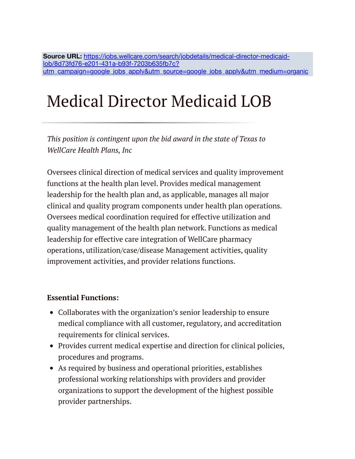Source URL: https://jobs.wellcare.com/search/jobdetails/medical-director-medicaidlob/8d73fd76-e201-431a-b93f-7203b635fb7c? [utm\\_campaign=google\\_jobs\\_apply&utm\\_source=google\\_jobs\\_apply&utm\\_medium=organic](https://jobs.wellcare.com/search/jobdetails/medical-director-medicaid-lob/8d73fd76-e201-431a-b93f-7203b635fb7c?utm_campaign=google_jobs_apply&utm_source=google_jobs_apply&utm_medium=organic)

# Medical Director Medicaid LOB

*This position is contingent upon the bid award in the state of Texas to WellCare Health Plans, Inc*

Oversees clinical direction of medical services and quality improvement functions at the health plan level. Provides medical management leadership for the health plan and, as applicable, manages all major clinical and quality program components under health plan operations. Oversees medical coordination required for effective utilization and quality management of the health plan network. Functions as medical leadership for effective care integration of WellCare pharmacy operations, utilization/case/disease Management activities, quality improvement activities, and provider relations functions.

#### **Essential Functions:**

- Collaborates with the organization's senior leadership to ensure medical compliance with all customer, regulatory, and accreditation requirements for clinical services.
- Provides current medical expertise and direction for clinical policies, procedures and programs.
- As required by business and operational priorities, establishes professional working relationships with providers and provider organizations to support the development of the highest possible provider partnerships.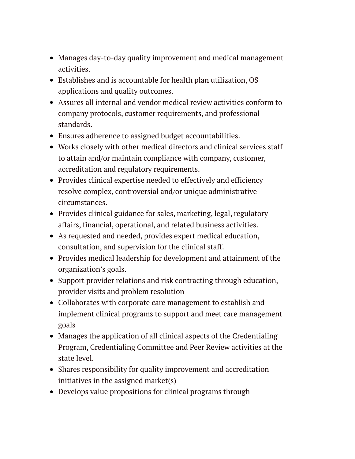- Manages day-to-day quality improvement and medical management activities.
- Establishes and is accountable for health plan utilization, OS applications and quality outcomes.
- Assures all internal and vendor medical review activities conform to company protocols, customer requirements, and professional standards.
- Ensures adherence to assigned budget accountabilities.
- Works closely with other medical directors and clinical services staff to attain and/or maintain compliance with company, customer, accreditation and regulatory requirements.
- Provides clinical expertise needed to effectively and efficiency resolve complex, controversial and/or unique administrative circumstances.
- Provides clinical guidance for sales, marketing, legal, regulatory affairs, financial, operational, and related business activities.
- As requested and needed, provides expert medical education, consultation, and supervision for the clinical staff.
- Provides medical leadership for development and attainment of the organization's goals.
- Support provider relations and risk contracting through education, provider visits and problem resolution
- Collaborates with corporate care management to establish and implement clinical programs to support and meet care management goals
- Manages the application of all clinical aspects of the Credentialing Program, Credentialing Committee and Peer Review activities at the state level.
- Shares responsibility for quality improvement and accreditation initiatives in the assigned market(s)
- Develops value propositions for clinical programs through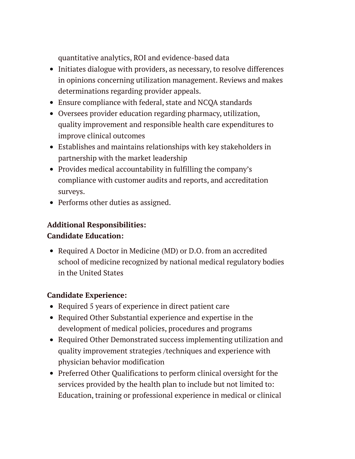quantitative analytics, ROI and evidence-based data

- Initiates dialogue with providers, as necessary, to resolve differences in opinions concerning utilization management. Reviews and makes determinations regarding provider appeals.
- Ensure compliance with federal, state and NCQA standards
- Oversees provider education regarding pharmacy, utilization, quality improvement and responsible health care expenditures to improve clinical outcomes
- Establishes and maintains relationships with key stakeholders in partnership with the market leadership
- Provides medical accountability in fulfilling the company's compliance with customer audits and reports, and accreditation surveys.
- Performs other duties as assigned.

### **Additional Responsibilities:**

### **Candidate Education:**

• Required A Doctor in Medicine (MD) or D.O. from an accredited school of medicine recognized by national medical regulatory bodies in the United States

### **Candidate Experience:**

- Required 5 years of experience in direct patient care
- Required Other Substantial experience and expertise in the development of medical policies, procedures and programs
- Required Other Demonstrated success implementing utilization and quality improvement strategies /techniques and experience with physician behavior modification
- Preferred Other Qualifications to perform clinical oversight for the services provided by the health plan to include but not limited to: Education, training or professional experience in medical or clinical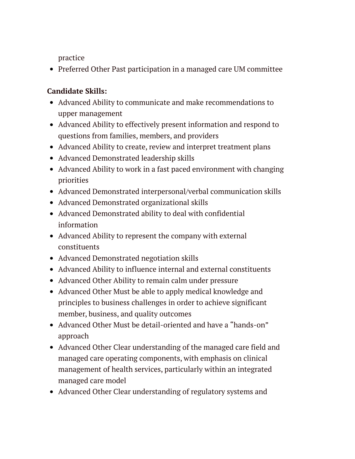practice

• Preferred Other Past participation in a managed care UM committee

### **Candidate Skills:**

- Advanced Ability to communicate and make recommendations to upper management
- Advanced Ability to effectively present information and respond to questions from families, members, and providers
- Advanced Ability to create, review and interpret treatment plans
- Advanced Demonstrated leadership skills
- Advanced Ability to work in a fast paced environment with changing priorities
- Advanced Demonstrated interpersonal/verbal communication skills
- Advanced Demonstrated organizational skills
- Advanced Demonstrated ability to deal with confidential information
- Advanced Ability to represent the company with external constituents
- Advanced Demonstrated negotiation skills
- Advanced Ability to influence internal and external constituents
- Advanced Other Ability to remain calm under pressure
- Advanced Other Must be able to apply medical knowledge and principles to business challenges in order to achieve significant member, business, and quality outcomes
- Advanced Other Must be detail-oriented and have a "hands-on" approach
- Advanced Other Clear understanding of the managed care field and managed care operating components, with emphasis on clinical management of health services, particularly within an integrated managed care model
- Advanced Other Clear understanding of regulatory systems and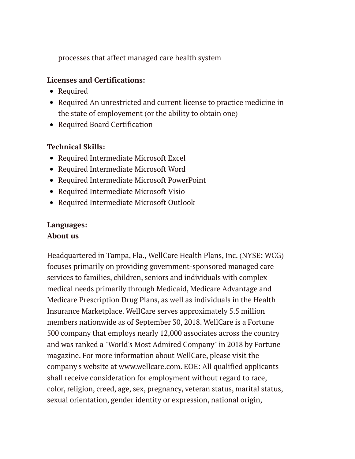processes that affect managed care health system

### **Licenses and Certifications:**

- Required
- Required An unrestricted and current license to practice medicine in the state of employement (or the ability to obtain one)
- Required Board Certification

### **Technical Skills:**

- Required Intermediate Microsoft Excel
- Required Intermediate Microsoft Word
- Required Intermediate Microsoft PowerPoint
- Required Intermediate Microsoft Visio
- Required Intermediate Microsoft Outlook

### **Languages: About us**

Headquartered in Tampa, Fla., WellCare Health Plans, Inc. (NYSE: WCG) focuses primarily on providing government-sponsored managed care services to families, children, seniors and individuals with complex medical needs primarily through Medicaid, Medicare Advantage and Medicare Prescription Drug Plans, as well as individuals in the Health Insurance Marketplace. WellCare serves approximately 5.5 million members nationwide as of September 30, 2018. WellCare is a Fortune 500 company that employs nearly 12,000 associates across the country and was ranked a "World's Most Admired Company" in 2018 by Fortune magazine. For more information about WellCare, please visit the company's website at www.wellcare.com. EOE: All qualified applicants shall receive consideration for employment without regard to race, color, religion, creed, age, sex, pregnancy, veteran status, marital status, sexual orientation, gender identity or expression, national origin,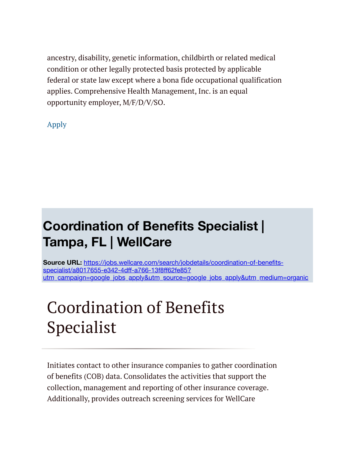ancestry, disability, genetic information, childbirth or related medical condition or other legally protected basis protected by applicable federal or state law except where a bona fide occupational qualification applies. Comprehensive Health Management, Inc. is an equal opportunity employer, M/F/D/V/SO.

[Apply](https://wellcare.taleo.net/careersection/application.jss?lang=en&type=1&csNo=10121&portal=8200010709&reqNo=921865&isOnLogoutPage=true)

### **Coordination of Benefits Specialist | Tampa, FL | WellCare**

**Source URL:** https://jobs.wellcare.com/search/jobdetails/coordination-of-benefitsspecialist/a8017655-e342-4dff-a766-13f8ff62fe85? [utm\\_campaign=google\\_jobs\\_apply&utm\\_source=google\\_jobs\\_apply&utm\\_medium=organic](https://jobs.wellcare.com/search/jobdetails/coordination-of-benefits-specialist/a8017655-e342-4dff-a766-13f8ff62fe85?utm_campaign=google_jobs_apply&utm_source=google_jobs_apply&utm_medium=organic)

# Coordination of Benefits Specialist

Initiates contact to other insurance companies to gather coordination of benefits (COB) data. Consolidates the activities that support the collection, management and reporting of other insurance coverage. Additionally, provides outreach screening services for WellCare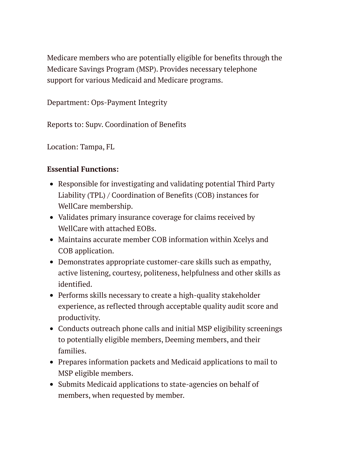Medicare members who are potentially eligible for benefits through the Medicare Savings Program (MSP). Provides necessary telephone support for various Medicaid and Medicare programs.

Department: Ops-Payment Integrity

Reports to: Supv. Coordination of Benefits

Location: Tampa, FL

### **Essential Functions:**

- Responsible for investigating and validating potential Third Party Liability (TPL) / Coordination of Benefits (COB) instances for WellCare membership.
- Validates primary insurance coverage for claims received by WellCare with attached EOBs.
- Maintains accurate member COB information within Xcelys and COB application.
- Demonstrates appropriate customer-care skills such as empathy, active listening, courtesy, politeness, helpfulness and other skills as identified.
- Performs skills necessary to create a high-quality stakeholder experience, as reflected through acceptable quality audit score and productivity.
- Conducts outreach phone calls and initial MSP eligibility screenings to potentially eligible members, Deeming members, and their families.
- Prepares information packets and Medicaid applications to mail to MSP eligible members.
- Submits Medicaid applications to state-agencies on behalf of members, when requested by member.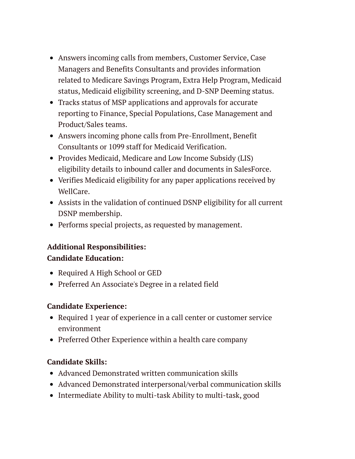- Answers incoming calls from members, Customer Service, Case Managers and Benefits Consultants and provides information related to Medicare Savings Program, Extra Help Program, Medicaid status, Medicaid eligibility screening, and D-SNP Deeming status.
- Tracks status of MSP applications and approvals for accurate reporting to Finance, Special Populations, Case Management and Product/Sales teams.
- Answers incoming phone calls from Pre-Enrollment, Benefit Consultants or 1099 staff for Medicaid Verification.
- Provides Medicaid, Medicare and Low Income Subsidy (LIS) eligibility details to inbound caller and documents in SalesForce.
- Verifies Medicaid eligibility for any paper applications received by WellCare.
- Assists in the validation of continued DSNP eligibility for all current DSNP membership.
- Performs special projects, as requested by management.

### **Additional Responsibilities: Candidate Education:**

- Required A High School or GED
- Preferred An Associate's Degree in a related field

### **Candidate Experience:**

- Required 1 year of experience in a call center or customer service environment
- Preferred Other Experience within a health care company

### **Candidate Skills:**

- Advanced Demonstrated written communication skills
- Advanced Demonstrated interpersonal/verbal communication skills
- Intermediate Ability to multi-task Ability to multi-task, good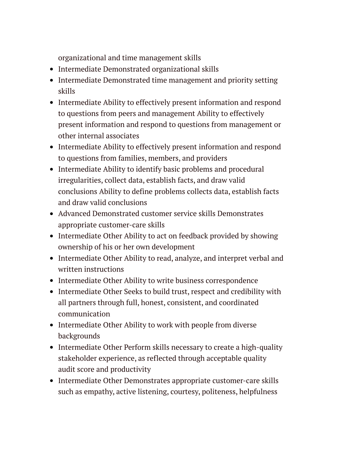organizational and time management skills

- Intermediate Demonstrated organizational skills
- Intermediate Demonstrated time management and priority setting skills
- Intermediate Ability to effectively present information and respond to questions from peers and management Ability to effectively present information and respond to questions from management or other internal associates
- Intermediate Ability to effectively present information and respond to questions from families, members, and providers
- Intermediate Ability to identify basic problems and procedural irregularities, collect data, establish facts, and draw valid conclusions Ability to define problems collects data, establish facts and draw valid conclusions
- Advanced Demonstrated customer service skills Demonstrates appropriate customer-care skills
- Intermediate Other Ability to act on feedback provided by showing ownership of his or her own development
- Intermediate Other Ability to read, analyze, and interpret verbal and written instructions
- Intermediate Other Ability to write business correspondence
- Intermediate Other Seeks to build trust, respect and credibility with all partners through full, honest, consistent, and coordinated communication
- Intermediate Other Ability to work with people from diverse backgrounds
- Intermediate Other Perform skills necessary to create a high-quality stakeholder experience, as reflected through acceptable quality audit score and productivity
- Intermediate Other Demonstrates appropriate customer-care skills such as empathy, active listening, courtesy, politeness, helpfulness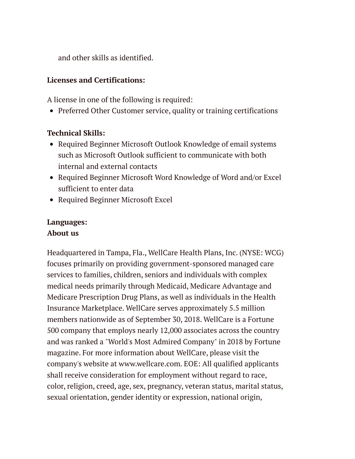and other skills as identified.

### **Licenses and Certifications:**

A license in one of the following is required:

• Preferred Other Customer service, quality or training certifications

### **Technical Skills:**

- Required Beginner Microsoft Outlook Knowledge of email systems such as Microsoft Outlook sufficient to communicate with both internal and external contacts
- Required Beginner Microsoft Word Knowledge of Word and/or Excel sufficient to enter data
- Required Beginner Microsoft Excel

### **Languages: About us**

Headquartered in Tampa, Fla., WellCare Health Plans, Inc. (NYSE: WCG) focuses primarily on providing government-sponsored managed care services to families, children, seniors and individuals with complex medical needs primarily through Medicaid, Medicare Advantage and Medicare Prescription Drug Plans, as well as individuals in the Health Insurance Marketplace. WellCare serves approximately 5.5 million members nationwide as of September 30, 2018. WellCare is a Fortune 500 company that employs nearly 12,000 associates across the country and was ranked a "World's Most Admired Company" in 2018 by Fortune magazine. For more information about WellCare, please visit the company's website at www.wellcare.com. EOE: All qualified applicants shall receive consideration for employment without regard to race, color, religion, creed, age, sex, pregnancy, veteran status, marital status, sexual orientation, gender identity or expression, national origin,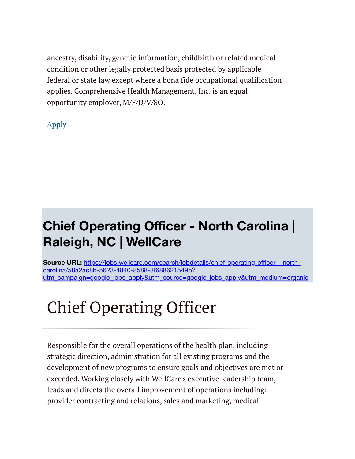ancestry, disability, genetic information, childbirth or related medical condition or other legally protected basis protected by applicable federal or state law except where a bona fide occupational qualification applies. Comprehensive Health Management, Inc. is an equal opportunity employer, M/F/D/V/SO.

[Apply](https://wellcare.taleo.net/careersection/application.jss?lang=en&type=1&csNo=10121&portal=8200010709&reqNo=926106&isOnLogoutPage=true)

### **Chief Operating Officer - North Carolina | Raleigh, NC | WellCare**

**Source URL:** https://jobs.wellcare.com/search/jobdetails/chief-operating-officer---northcarolina/58a2ac8b-5623-4840-8588-8f688621549b? [utm\\_campaign=google\\_jobs\\_apply&utm\\_source=google\\_jobs\\_apply&utm\\_medium=organic](https://jobs.wellcare.com/search/jobdetails/chief-operating-officer---north-carolina/58a2ac8b-5623-4840-8588-8f688621549b?utm_campaign=google_jobs_apply&utm_source=google_jobs_apply&utm_medium=organic)

# Chief Operating Officer

Responsible for the overall operations of the health plan, including strategic direction, administration for all existing programs and the development of new programs to ensure goals and objectives are met or exceeded. Working closely with WellCare's executive leadership team, leads and directs the overall improvement of operations including: provider contracting and relations, sales and marketing, medical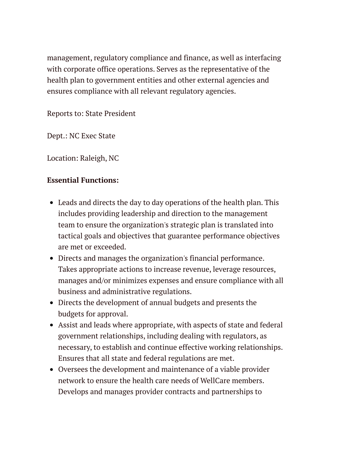management, regulatory compliance and finance, as well as interfacing with corporate office operations. Serves as the representative of the health plan to government entities and other external agencies and ensures compliance with all relevant regulatory agencies.

Reports to: State President

Dept.: NC Exec State

Location: Raleigh, NC

### **Essential Functions:**

- Leads and directs the day to day operations of the health plan. This includes providing leadership and direction to the management team to ensure the organization's strategic plan is translated into tactical goals and objectives that guarantee performance objectives are met or exceeded.
- Directs and manages the organization's financial performance. Takes appropriate actions to increase revenue, leverage resources, manages and/or minimizes expenses and ensure compliance with all business and administrative regulations.
- Directs the development of annual budgets and presents the budgets for approval.
- Assist and leads where appropriate, with aspects of state and federal government relationships, including dealing with regulators, as necessary, to establish and continue effective working relationships. Ensures that all state and federal regulations are met.
- Oversees the development and maintenance of a viable provider network to ensure the health care needs of WellCare members. Develops and manages provider contracts and partnerships to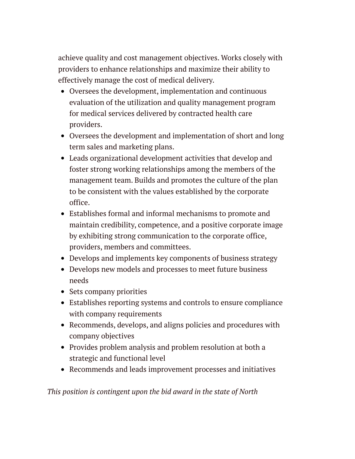achieve quality and cost management objectives. Works closely with providers to enhance relationships and maximize their ability to effectively manage the cost of medical delivery.

- Oversees the development, implementation and continuous evaluation of the utilization and quality management program for medical services delivered by contracted health care providers.
- Oversees the development and implementation of short and long term sales and marketing plans.
- Leads organizational development activities that develop and foster strong working relationships among the members of the management team. Builds and promotes the culture of the plan to be consistent with the values established by the corporate office.
- Establishes formal and informal mechanisms to promote and maintain credibility, competence, and a positive corporate image by exhibiting strong communication to the corporate office, providers, members and committees.
- Develops and implements key components of business strategy
- Develops new models and processes to meet future business needs
- Sets company priorities
- Establishes reporting systems and controls to ensure compliance with company requirements
- Recommends, develops, and aligns policies and procedures with company objectives
- Provides problem analysis and problem resolution at both a strategic and functional level
- Recommends and leads improvement processes and initiatives

*This position is contingent upon the bid award in the state of North*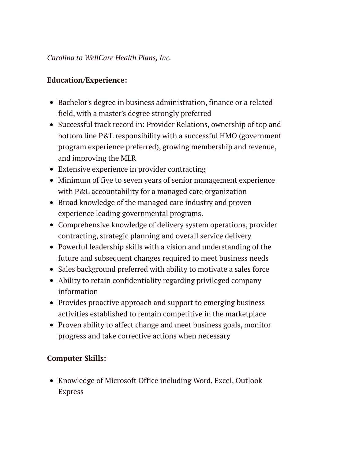### *Carolina to WellCare Health Plans, Inc.*

### **Education/Experience:**

- Bachelor's degree in business administration, finance or a related field, with a master's degree strongly preferred
- Successful track record in: Provider Relations, ownership of top and bottom line P&L responsibility with a successful HMO (government program experience preferred), growing membership and revenue, and improving the MLR
- Extensive experience in provider contracting
- Minimum of five to seven years of senior management experience with P&L accountability for a managed care organization
- Broad knowledge of the managed care industry and proven experience leading governmental programs.
- Comprehensive knowledge of delivery system operations, provider contracting, strategic planning and overall service delivery
- Powerful leadership skills with a vision and understanding of the future and subsequent changes required to meet business needs
- Sales background preferred with ability to motivate a sales force
- Ability to retain confidentiality regarding privileged company information
- Provides proactive approach and support to emerging business activities established to remain competitive in the marketplace
- Proven ability to affect change and meet business goals, monitor progress and take corrective actions when necessary

### **Computer Skills:**

• Knowledge of Microsoft Office including Word, Excel, Outlook Express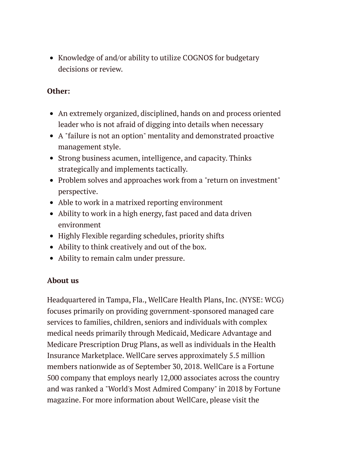• Knowledge of and/or ability to utilize COGNOS for budgetary decisions or review.

### **Other:**

- An extremely organized, disciplined, hands on and process oriented leader who is not afraid of digging into details when necessary
- A "failure is not an option" mentality and demonstrated proactive management style.
- Strong business acumen, intelligence, and capacity. Thinks strategically and implements tactically.
- Problem solves and approaches work from a "return on investment" perspective.
- Able to work in a matrixed reporting environment
- Ability to work in a high energy, fast paced and data driven environment
- Highly Flexible regarding schedules, priority shifts
- Ability to think creatively and out of the box.
- Ability to remain calm under pressure.

### **About us**

Headquartered in Tampa, Fla., WellCare Health Plans, Inc. (NYSE: WCG) focuses primarily on providing government-sponsored managed care services to families, children, seniors and individuals with complex medical needs primarily through Medicaid, Medicare Advantage and Medicare Prescription Drug Plans, as well as individuals in the Health Insurance Marketplace. WellCare serves approximately 5.5 million members nationwide as of September 30, 2018. WellCare is a Fortune 500 company that employs nearly 12,000 associates across the country and was ranked a "World's Most Admired Company" in 2018 by Fortune magazine. For more information about WellCare, please visit the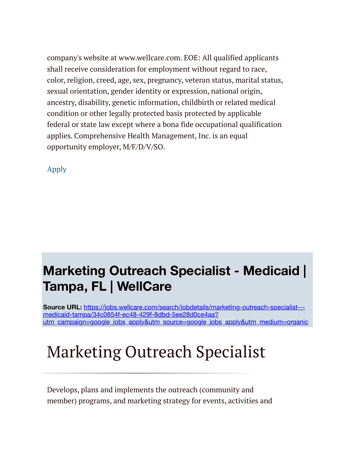company's website at www.wellcare.com. EOE: All qualified applicants shall receive consideration for employment without regard to race, color, religion, creed, age, sex, pregnancy, veteran status, marital status, sexual orientation, gender identity or expression, national origin, ancestry, disability, genetic information, childbirth or related medical condition or other legally protected basis protected by applicable federal or state law except where a bona fide occupational qualification applies. Comprehensive Health Management, Inc. is an equal opportunity employer, M/F/D/V/SO.

[Apply](https://wellcare.taleo.net/careersection/application.jss?lang=en&type=1&csNo=10121&portal=8200010709&reqNo=851182&isOnLogoutPage=true)

### **Marketing Outreach Specialist - Medicaid | Tampa, FL | WellCare**

**Source URL:** https://jobs.wellcare.com/search/jobdetails/marketing-outreach-specialist-- medicaid-tampa/34c0854f-ec48-429f-8dbd-5ee28d0ce4aa? [utm\\_campaign=google\\_jobs\\_apply&utm\\_source=google\\_jobs\\_apply&utm\\_medium=organic](https://jobs.wellcare.com/search/jobdetails/marketing-outreach-specialist---medicaid-tampa/34c0854f-ec48-429f-8dbd-5ee28d0ce4aa?utm_campaign=google_jobs_apply&utm_source=google_jobs_apply&utm_medium=organic)

# Marketing Outreach Specialist

Develops, plans and implements the outreach (community and member) programs, and marketing strategy for events, activities and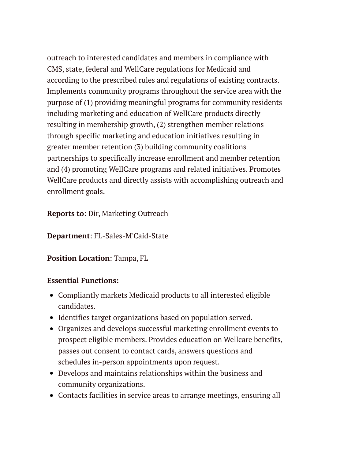outreach to interested candidates and members in compliance with CMS, state, federal and WellCare regulations for Medicaid and according to the prescribed rules and regulations of existing contracts. Implements community programs throughout the service area with the purpose of (1) providing meaningful programs for community residents including marketing and education of WellCare products directly resulting in membership growth, (2) strengthen member relations through specific marketing and education initiatives resulting in greater member retention (3) building community coalitions partnerships to specifically increase enrollment and member retention and (4) promoting WellCare programs and related initiatives. Promotes WellCare products and directly assists with accomplishing outreach and enrollment goals.

### **Reports to**: Dir, Marketing Outreach

**Department**: FL-Sales-M'Caid-State

### **Position Location**: Tampa, FL

### **Essential Functions:**

- Compliantly markets Medicaid products to all interested eligible candidates.
- Identifies target organizations based on population served.
- Organizes and develops successful marketing enrollment events to prospect eligible members. Provides education on Wellcare benefits, passes out consent to contact cards, answers questions and schedules in-person appointments upon request.
- Develops and maintains relationships within the business and community organizations.
- Contacts facilities in service areas to arrange meetings, ensuring all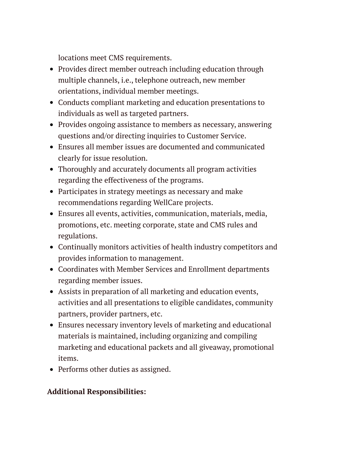locations meet CMS requirements.

- Provides direct member outreach including education through multiple channels, i.e., telephone outreach, new member orientations, individual member meetings.
- Conducts compliant marketing and education presentations to individuals as well as targeted partners.
- Provides ongoing assistance to members as necessary, answering questions and/or directing inquiries to Customer Service.
- Ensures all member issues are documented and communicated clearly for issue resolution.
- Thoroughly and accurately documents all program activities regarding the effectiveness of the programs.
- Participates in strategy meetings as necessary and make recommendations regarding WellCare projects.
- Ensures all events, activities, communication, materials, media, promotions, etc. meeting corporate, state and CMS rules and regulations.
- Continually monitors activities of health industry competitors and provides information to management.
- Coordinates with Member Services and Enrollment departments regarding member issues.
- Assists in preparation of all marketing and education events, activities and all presentations to eligible candidates, community partners, provider partners, etc.
- Ensures necessary inventory levels of marketing and educational materials is maintained, including organizing and compiling marketing and educational packets and all giveaway, promotional items.
- Performs other duties as assigned.

### **Additional Responsibilities:**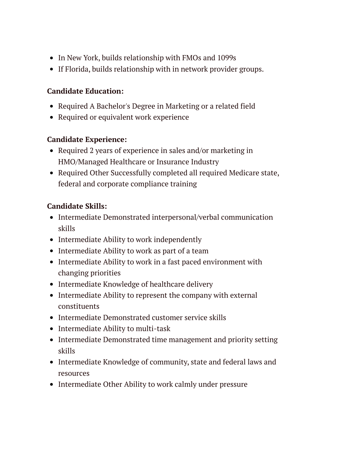- In New York, builds relationship with FMOs and 1099s
- If Florida, builds relationship with in network provider groups.

### **Candidate Education:**

- Required A Bachelor's Degree in Marketing or a related field
- Required or equivalent work experience

### **Candidate Experience:**

- Required 2 years of experience in sales and/or marketing in HMO/Managed Healthcare or Insurance Industry
- Required Other Successfully completed all required Medicare state, federal and corporate compliance training

### **Candidate Skills:**

- Intermediate Demonstrated interpersonal/verbal communication skills
- Intermediate Ability to work independently
- Intermediate Ability to work as part of a team
- Intermediate Ability to work in a fast paced environment with changing priorities
- Intermediate Knowledge of healthcare delivery
- Intermediate Ability to represent the company with external constituents
- Intermediate Demonstrated customer service skills
- Intermediate Ability to multi-task
- Intermediate Demonstrated time management and priority setting skills
- Intermediate Knowledge of community, state and federal laws and resources
- Intermediate Other Ability to work calmly under pressure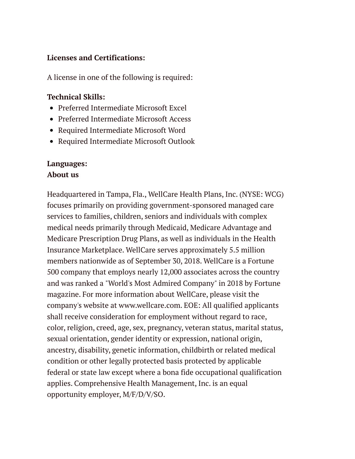#### **Licenses and Certifications:**

A license in one of the following is required:

### **Technical Skills:**

- Preferred Intermediate Microsoft Excel
- Preferred Intermediate Microsoft Access
- Required Intermediate Microsoft Word
- Required Intermediate Microsoft Outlook

### **Languages: About us**

Headquartered in Tampa, Fla., WellCare Health Plans, Inc. (NYSE: WCG) focuses primarily on providing government-sponsored managed care services to families, children, seniors and individuals with complex medical needs primarily through Medicaid, Medicare Advantage and Medicare Prescription Drug Plans, as well as individuals in the Health Insurance Marketplace. WellCare serves approximately 5.5 million members nationwide as of September 30, 2018. WellCare is a Fortune 500 company that employs nearly 12,000 associates across the country and was ranked a "World's Most Admired Company" in 2018 by Fortune magazine. For more information about WellCare, please visit the company's website at www.wellcare.com. EOE: All qualified applicants shall receive consideration for employment without regard to race, color, religion, creed, age, sex, pregnancy, veteran status, marital status, sexual orientation, gender identity or expression, national origin, ancestry, disability, genetic information, childbirth or related medical condition or other legally protected basis protected by applicable federal or state law except where a bona fide occupational qualification applies. Comprehensive Health Management, Inc. is an equal opportunity employer, M/F/D/V/SO.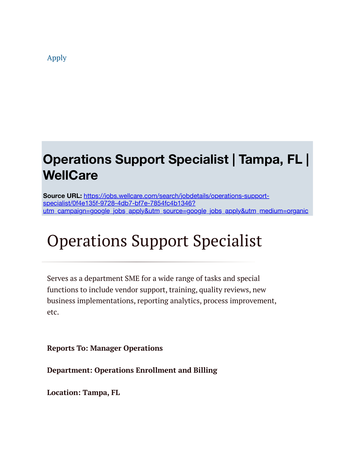[Apply](https://wellcare.taleo.net/careersection/application.jss?lang=en&type=1&csNo=10121&portal=8200010709&reqNo=912005&isOnLogoutPage=true)

### **Operations Support Specialist | Tampa, FL | WellCare**

**Source URL:** https://jobs.wellcare.com/search/jobdetails/operations-supportspecialist/0f4e135f-9728-4db7-bf7e-7854fc4b1346? [utm\\_campaign=google\\_jobs\\_apply&utm\\_source=google\\_jobs\\_apply&utm\\_medium=organic](https://jobs.wellcare.com/search/jobdetails/operations-support-specialist/0f4e135f-9728-4db7-bf7e-7854fc4b1346?utm_campaign=google_jobs_apply&utm_source=google_jobs_apply&utm_medium=organic)

# Operations Support Specialist

Serves as a department SME for a wide range of tasks and special functions to include vendor support, training, quality reviews, new business implementations, reporting analytics, process improvement, etc.

**Reports To: Manager Operations**

**Department: Operations Enrollment and Billing**

**Location: Tampa, FL**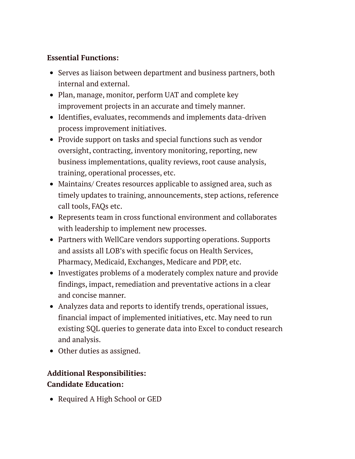### **Essential Functions:**

- Serves as liaison between department and business partners, both internal and external.
- Plan, manage, monitor, perform UAT and complete key improvement projects in an accurate and timely manner.
- Identifies, evaluates, recommends and implements data-driven process improvement initiatives.
- Provide support on tasks and special functions such as vendor oversight, contracting, inventory monitoring, reporting, new business implementations, quality reviews, root cause analysis, training, operational processes, etc.
- Maintains/ Creates resources applicable to assigned area, such as timely updates to training, announcements, step actions, reference call tools, FAQs etc.
- Represents team in cross functional environment and collaborates with leadership to implement new processes.
- Partners with WellCare vendors supporting operations. Supports and assists all LOB's with specific focus on Health Services, Pharmacy, Medicaid, Exchanges, Medicare and PDP, etc.
- Investigates problems of a moderately complex nature and provide findings, impact, remediation and preventative actions in a clear and concise manner.
- Analyzes data and reports to identify trends, operational issues, financial impact of implemented initiatives, etc. May need to run existing SQL queries to generate data into Excel to conduct research and analysis.
- Other duties as assigned.

### **Additional Responsibilities: Candidate Education:**

• Required A High School or GED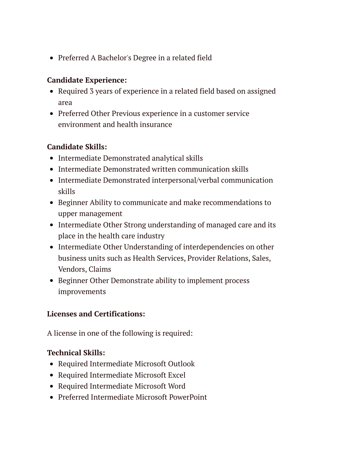Preferred A Bachelor's Degree in a related field

### **Candidate Experience:**

- Required 3 years of experience in a related field based on assigned area
- Preferred Other Previous experience in a customer service environment and health insurance

### **Candidate Skills:**

- Intermediate Demonstrated analytical skills
- Intermediate Demonstrated written communication skills
- Intermediate Demonstrated interpersonal/verbal communication skills
- Beginner Ability to communicate and make recommendations to upper management
- Intermediate Other Strong understanding of managed care and its place in the health care industry
- Intermediate Other Understanding of interdependencies on other business units such as Health Services, Provider Relations, Sales, Vendors, Claims
- Beginner Other Demonstrate ability to implement process improvements

### **Licenses and Certifications:**

A license in one of the following is required:

### **Technical Skills:**

- Required Intermediate Microsoft Outlook
- Required Intermediate Microsoft Excel
- Required Intermediate Microsoft Word
- Preferred Intermediate Microsoft PowerPoint